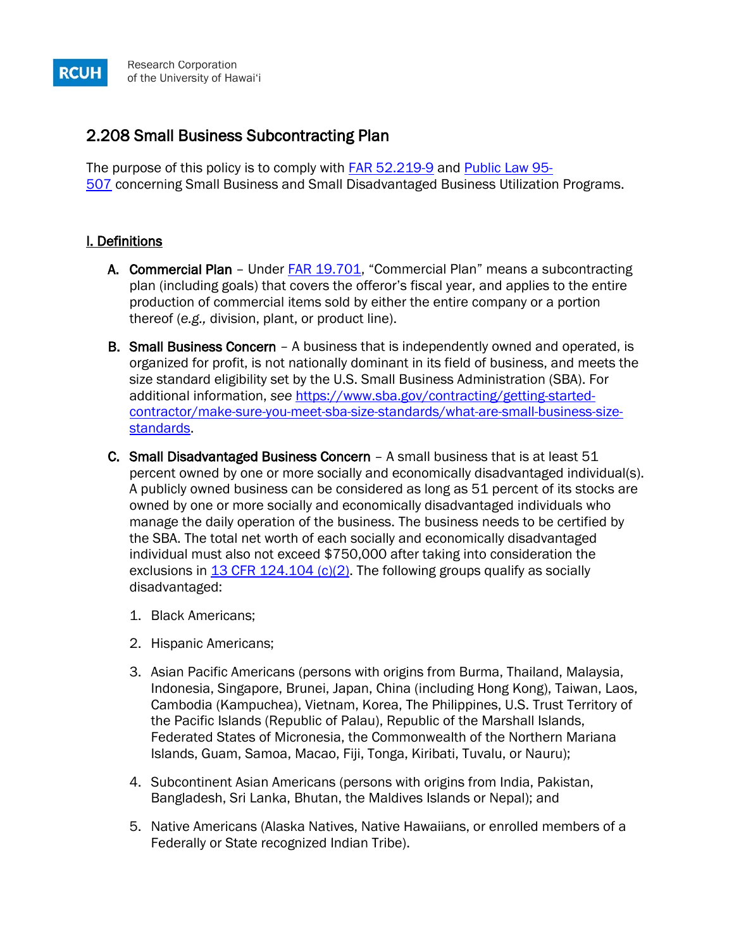# 2.208 Small Business Subcontracting Plan

The purpose of this policy is to comply with **[FAR 52.219-9](http://www.ecfr.gov/cgi-bin/text-idx?SID=18440d0f14c77e69bb9eee99137c8770&node=se48.2.52_1219_69&rgn=div8)** and **[Public Law 95-](http://www.gpo.gov/fdsys/pkg/STATUTE-92/pdf/STATUTE-92-Pg1757.pdf)** [507](http://www.gpo.gov/fdsys/pkg/STATUTE-92/pdf/STATUTE-92-Pg1757.pdf) concerning Small Business and Small Disadvantaged Business Utilization Programs.

## I. Definitions

**RCUH** 

- A. Commercial Plan Under **FAR 19.701**, "Commercial Plan" means a subcontracting plan (including goals) that covers the offeror's fiscal year, and applies to the entire production of commercial items sold by either the entire company or a portion thereof (*e.g.,* division, plant, or product line).
- **B. Small Business Concern** A business that is independently owned and operated, is organized for profit, is not nationally dominant in its field of business, and meets the size standard eligibility set by the U.S. Small Business Administration (SBA). For additional information, *see* [https://www.sba.gov/contracting/getting-started](https://www.sba.gov/contracting/getting-started-contractor/make-sure-you-meet-sba-size-standards/what-are-small-business-size-standards)[contractor/make-sure-you-meet-sba-size-standards/what-are-small-business-size](https://www.sba.gov/contracting/getting-started-contractor/make-sure-you-meet-sba-size-standards/what-are-small-business-size-standards)[standards.](https://www.sba.gov/contracting/getting-started-contractor/make-sure-you-meet-sba-size-standards/what-are-small-business-size-standards)
- C. Small Disadvantaged Business Concern A small business that is at least 51 percent owned by one or more socially and economically disadvantaged individual(s). A publicly owned business can be considered as long as 51 percent of its stocks are owned by one or more socially and economically disadvantaged individuals who manage the daily operation of the business. The business needs to be certified by the SBA. The total net worth of each socially and economically disadvantaged individual must also not exceed \$750,000 after taking into consideration the exclusions in [13 CFR 124.104 \(c\)\(2\).](http://www.ecfr.gov/cgi-bin/text-idx?SID=ea51007fdbfa66a83a34ae2259de9924&node=se13.1.124_1104&rgn=div8) The following groups qualify as socially disadvantaged:
	- 1. Black Americans;
	- 2. Hispanic Americans;
	- 3. Asian Pacific Americans (persons with origins from Burma, Thailand, Malaysia, Indonesia, Singapore, Brunei, Japan, China (including Hong Kong), Taiwan, Laos, Cambodia (Kampuchea), Vietnam, Korea, The Philippines, U.S. Trust Territory of the Pacific Islands (Republic of Palau), Republic of the Marshall Islands, Federated States of Micronesia, the Commonwealth of the Northern Mariana Islands, Guam, Samoa, Macao, Fiji, Tonga, Kiribati, Tuvalu, or Nauru);
	- 4. Subcontinent Asian Americans (persons with origins from India, Pakistan, Bangladesh, Sri Lanka, Bhutan, the Maldives Islands or Nepal); and
	- 5. Native Americans (Alaska Natives, Native Hawaiians, or enrolled members of a Federally or State recognized Indian Tribe).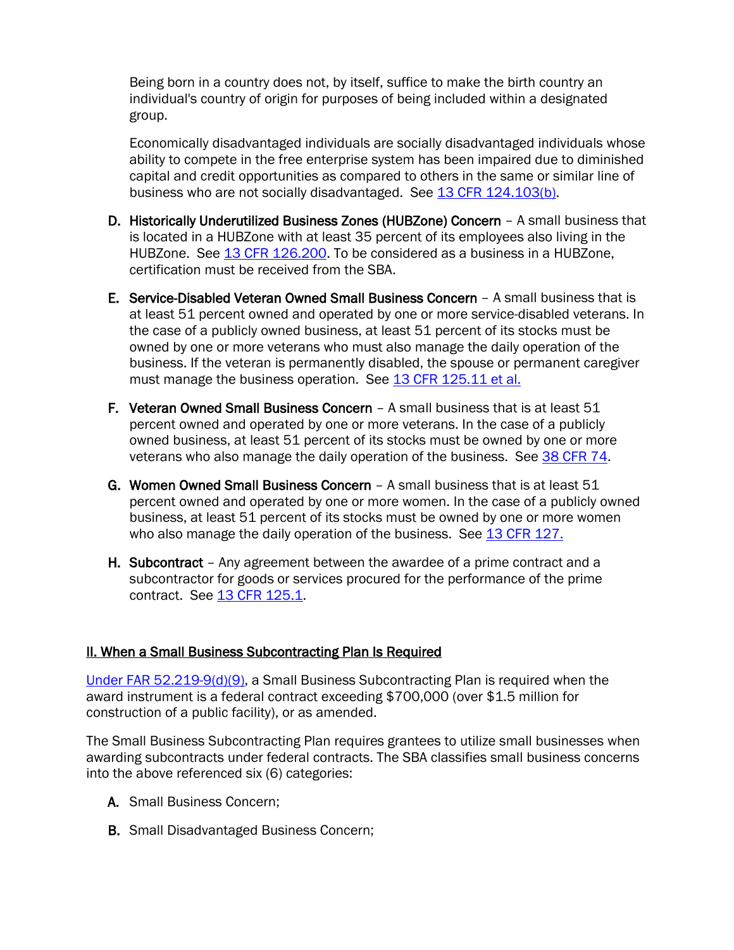Being born in a country does not, by itself, suffice to make the birth country an individual's country of origin for purposes of being included within a designated group.

Economically disadvantaged individuals are socially disadvantaged individuals whose ability to compete in the free enterprise system has been impaired due to diminished capital and credit opportunities as compared to others in the same or similar line of business who are not socially disadvantaged. See [13 CFR 124.103\(b\).](https://www.ecfr.gov/cgi-bin/retrieveECFR?gp=&SID=2aaf6df2044283cb9c3fb2cf2634da6a&mc=true&n=pt13.1.124&r=PART&ty=HTML#se13.1.124_1103)

- D. Historically Underutilized Business Zones (HUBZone) Concern A small business that is located in a HUBZone with at least 35 percent of its employees also living in the HUBZone. See [13 CFR 126.200.](https://www.ecfr.gov/cgi-bin/text-idx?SID=4b215bebc4215e1ba06f5c0f1b920700&mc=true&node=se13.1.126_1200&rgn=div8) To be considered as a business in a HUBZone, certification must be received from the SBA.
- E. Service-Disabled Veteran Owned Small Business Concern A small business that is at least 51 percent owned and operated by one or more service-disabled veterans. In the case of a publicly owned business, at least 51 percent of its stocks must be owned by one or more veterans who must also manage the daily operation of the business. If the veteran is permanently disabled, the spouse or permanent caregiver must manage the business operation. See [13 CFR 125.11 et al.](https://www.ecfr.gov/cgi-bin/text-idx?SID=6721a9d2f15ef5b44adab9d007a92e73&mc=true&tpl=/ecfrbrowse/Title13/13cfr125_main_02.tpl)
- F. Veteran Owned Small Business Concern A small business that is at least 51 percent owned and operated by one or more veterans. In the case of a publicly owned business, at least 51 percent of its stocks must be owned by one or more veterans who also manage the daily operation of the business. See [38 CFR 74.](https://gov.ecfr.io/cgi-bin/text-idx?SID=aba17f72d6c8b75988c0f3d0aa665920&mc=true&node=pt38.2.74&rgn=div5)
- G. Women Owned Small Business Concern A small business that is at least 51 percent owned and operated by one or more women. In the case of a publicly owned business, at least 51 percent of its stocks must be owned by one or more women who also manage the daily operation of the business. See [13 CFR 127.](https://gov.ecfr.io/cgi-bin/text-idx?SID=597c1ac4de9dbec106122da88f572cd8&mc=true&node=pt13.1.127&rgn=div5)
- H. Subcontract Any agreement between the awardee of a prime contract and a subcontractor for goods or services procured for the performance of the prime contract. See [13 CFR 125.1.](https://www.ecfr.gov/cgi-bin/retrieveECFR?gp=&SID=38dedddd2a90eb6ce52a05d476cace05&mc=true&n=pt13.1.125&r=PART&ty=HTML#se13.1.125_11)

## II. When a Small Business Subcontracting Plan Is Required

[Under FAR 52.219-9\(d\)\(9\),](http://www.ecfr.gov/cgi-bin/text-idx?SID=ea51007fdbfa66a83a34ae2259de9924&node=se48.2.52_1219_69&rgn=div8) a Small Business Subcontracting Plan is required when the award instrument is a federal contract exceeding \$700,000 (over \$1.5 million for construction of a public facility), or as amended.

The Small Business Subcontracting Plan requires grantees to utilize small businesses when awarding subcontracts under federal contracts. The SBA classifies small business concerns into the above referenced six (6) categories:

- A. Small Business Concern;
- B. Small Disadvantaged Business Concern;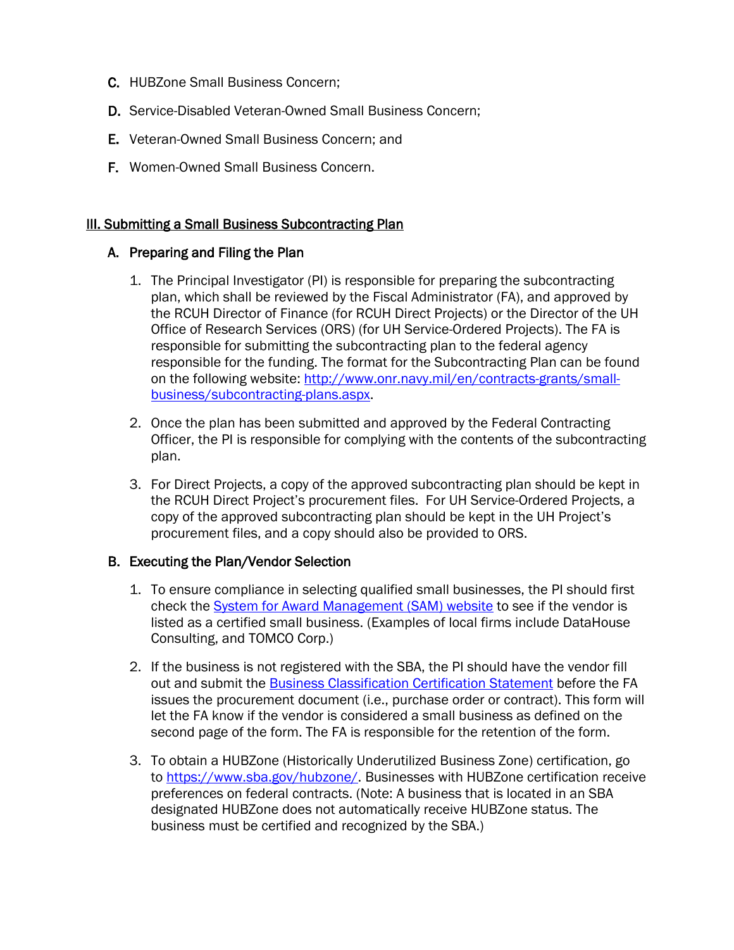- C. HUBZone Small Business Concern;
- D. Service-Disabled Veteran-Owned Small Business Concern;
- E. Veteran-Owned Small Business Concern; and
- F. Women-Owned Small Business Concern.

### **III. Submitting a Small Business Subcontracting Plan**

#### A. Preparing and Filing the Plan

- 1. The Principal Investigator (PI) is responsible for preparing the subcontracting plan, which shall be reviewed by the Fiscal Administrator (FA), and approved by the RCUH Director of Finance (for RCUH Direct Projects) or the Director of the UH Office of Research Services (ORS) (for UH Service-Ordered Projects). The FA is responsible for submitting the subcontracting plan to the federal agency responsible for the funding. The format for the Subcontracting Plan can be found on the following website: [http://www.onr.navy.mil/en/contracts-grants/small](http://www.onr.navy.mil/en/contracts-grants/small-business/subcontracting-plans.aspx)[business/subcontracting-plans.aspx.](http://www.onr.navy.mil/en/contracts-grants/small-business/subcontracting-plans.aspx)
- 2. Once the plan has been submitted and approved by the Federal Contracting Officer, the PI is responsible for complying with the contents of the subcontracting plan.
- 3. For Direct Projects, a copy of the approved subcontracting plan should be kept in the RCUH Direct Project's procurement files. For UH Service-Ordered Projects, a copy of the approved subcontracting plan should be kept in the UH Project's procurement files, and a copy should also be provided to ORS.

#### B. Executing the Plan/Vendor Selection

- 1. To ensure compliance in selecting qualified small businesses, the PI should first check the [System for Award Management \(SAM\) website](https://www.sam.gov/SAM/pages/public/searchRecords/search.jsf) to see if the vendor is listed as a certified small business. (Examples of local firms include DataHouse Consulting, and TOMCO Corp.)
- 2. If the business is not registered with the SBA, the PI should have the vendor fill out and submit the [Business Classification Certification Statement](https://www.rcuh.com/document-library/2-000/procurement-contracts/business-classification-certification-statement/) before the FA issues the procurement document (i.e., purchase order or contract). This form will let the FA know if the vendor is considered a small business as defined on the second page of the form. The FA is responsible for the retention of the form.
- 3. To obtain a HUBZone (Historically Underutilized Business Zone) certification, go to [https://www.sba.gov/hubzone/.](https://www.sba.gov/hubzone/) Businesses with HUBZone certification receive preferences on federal contracts. (Note: A business that is located in an SBA designated HUBZone does not automatically receive HUBZone status. The business must be certified and recognized by the SBA.)